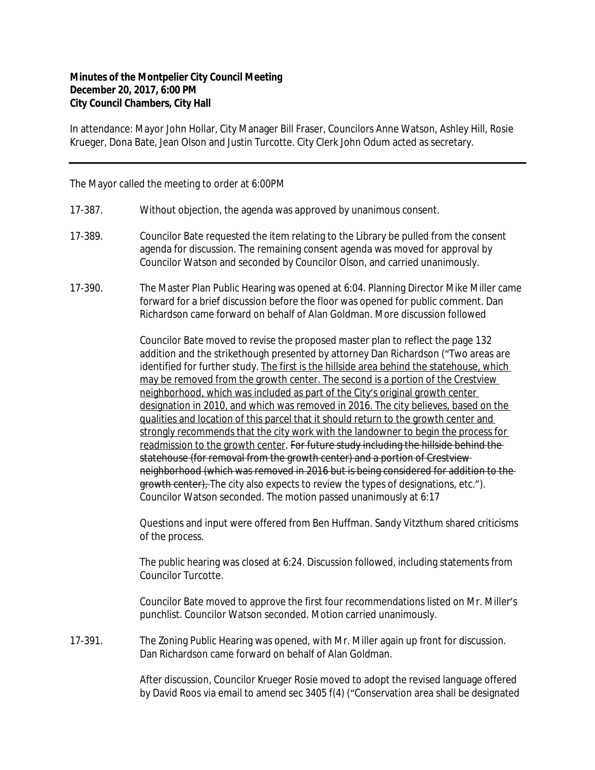## **Minutes of the Montpelier City Council Meeting December 20, 2017, 6:00 PM City Council Chambers, City Hall**

In attendance: Mayor John Hollar, City Manager Bill Fraser, Councilors Anne Watson, Ashley Hill, Rosie Krueger, Dona Bate, Jean Olson and Justin Turcotte. City Clerk John Odum acted as secretary.

The Mayor called the meeting to order at 6:00PM

- 17-387. Without objection, the agenda was approved by unanimous consent.
- 17-389. Councilor Bate requested the item relating to the Library be pulled from the consent agenda for discussion. The remaining consent agenda was moved for approval by Councilor Watson and seconded by Councilor Olson, and carried unanimously.
- 17-390. The Master Plan Public Hearing was opened at 6:04. Planning Director Mike Miller came forward for a brief discussion before the floor was opened for public comment. Dan Richardson came forward on behalf of Alan Goldman. More discussion followed

Councilor Bate moved to revise the proposed master plan to reflect the page 132 addition and the strikethough presented by attorney Dan Richardson ("Two areas are identified for further study. The first is the hillside area behind the statehouse, which may be removed from the growth center. The second is a portion of the Crestview neighborhood, which was included as part of the City's original growth center designation in 2010, and which was removed in 2016. The city believes, based on the qualities and location of this parcel that it should return to the growth center and strongly recommends that the city work with the landowner to begin the process for readmission to the growth center. For future study including the hillside behind the statehouse (for removal from the growth center) and a portion of Crestview neighborhood (which was removed in 2016 but is being considered for addition to the growth center). The city also expects to review the types of designations, etc."). Councilor Watson seconded. The motion passed unanimously at 6:17

Questions and input were offered from Ben Huffman. Sandy Vitzthum shared criticisms of the process.

The public hearing was closed at 6:24. Discussion followed, including statements from Councilor Turcotte.

Councilor Bate moved to approve the first four recommendations listed on Mr. Miller's punchlist. Councilor Watson seconded. Motion carried unanimously.

17-391. The Zoning Public Hearing was opened, with Mr. Miller again up front for discussion. Dan Richardson came forward on behalf of Alan Goldman.

> After discussion, Councilor Krueger Rosie moved to adopt the revised language offered by David Roos via email to amend sec 3405 f(4) ("Conservation area shall be designated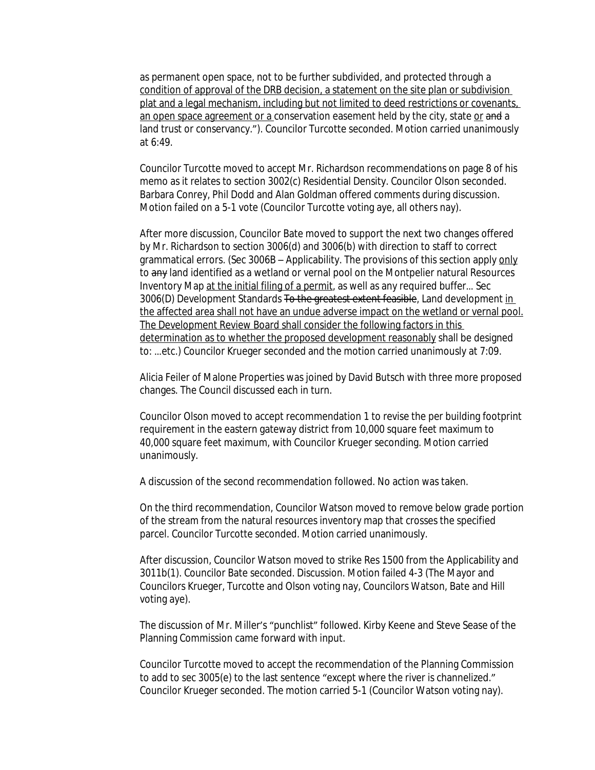as permanent open space, not to be further subdivided, and protected through a condition of approval of the DRB decision, a statement on the site plan or subdivision plat and a legal mechanism, including but not limited to deed restrictions or covenants, an open space agreement or a conservation easement held by the city, state or and a land trust or conservancy."). Councilor Turcotte seconded. Motion carried unanimously at 6:49.

Councilor Turcotte moved to accept Mr. Richardson recommendations on page 8 of his memo as it relates to section 3002(c) Residential Density. Councilor Olson seconded. Barbara Conrey, Phil Dodd and Alan Goldman offered comments during discussion. Motion failed on a 5-1 vote (Councilor Turcotte voting aye, all others nay).

After more discussion, Councilor Bate moved to support the next two changes offered by Mr. Richardson to section 3006(d) and 3006(b) with direction to staff to correct grammatical errors. (Sec 3006B – Applicability. The provisions of this section apply only to any land identified as a wetland or vernal pool on the Montpelier natural Resources Inventory Map at the initial filing of a permit, as well as any required buffer... Sec 3006(D) Development Standards To the greatest extent feasible, Land development in the affected area shall not have an undue adverse impact on the wetland or vernal pool. The Development Review Board shall consider the following factors in this determination as to whether the proposed development reasonably shall be designed to: …etc.) Councilor Krueger seconded and the motion carried unanimously at 7:09.

Alicia Feiler of Malone Properties was joined by David Butsch with three more proposed changes. The Council discussed each in turn.

Councilor Olson moved to accept recommendation 1 to revise the per building footprint requirement in the eastern gateway district from 10,000 square feet maximum to 40,000 square feet maximum, with Councilor Krueger seconding. Motion carried unanimously.

A discussion of the second recommendation followed. No action was taken.

On the third recommendation, Councilor Watson moved to remove below grade portion of the stream from the natural resources inventory map that crosses the specified parcel. Councilor Turcotte seconded. Motion carried unanimously.

After discussion, Councilor Watson moved to strike Res 1500 from the Applicability and 3011b(1). Councilor Bate seconded. Discussion. Motion failed 4-3 (The Mayor and Councilors Krueger, Turcotte and Olson voting nay, Councilors Watson, Bate and Hill voting aye).

The discussion of Mr. Miller's "punchlist" followed. Kirby Keene and Steve Sease of the Planning Commission came forward with input.

Councilor Turcotte moved to accept the recommendation of the Planning Commission to add to sec 3005(e) to the last sentence "except where the river is channelized." Councilor Krueger seconded. The motion carried 5-1 (Councilor Watson voting nay).